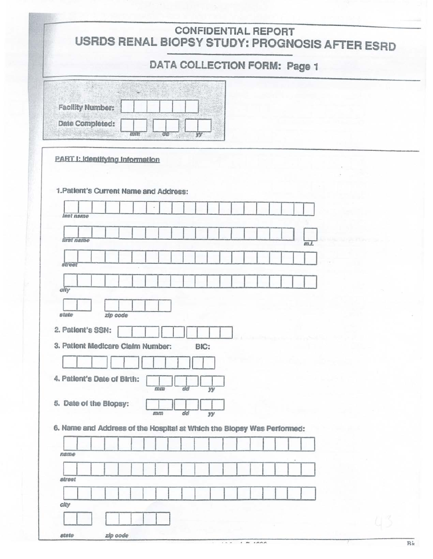# **CONFIDENTIAL REPORT** USRDS RENAL BIOPSY STUDY: PROGNOSIS AFTER ESRD

# DATA COLLECTION FORM: Page 1

| Facility Number: |  |  |  |
|------------------|--|--|--|
| Date Completed:  |  |  |  |

#### PART I: Identifying Information

#### 1. Patlent's Current Name and Address:

| lest name                                                              |          |        |            |      |  |      |
|------------------------------------------------------------------------|----------|--------|------------|------|--|------|
|                                                                        |          |        |            |      |  |      |
| first name                                                             |          |        |            |      |  | m.t. |
|                                                                        |          |        |            |      |  |      |
| street                                                                 |          |        |            |      |  |      |
|                                                                        |          |        |            |      |  |      |
|                                                                        |          |        |            |      |  |      |
| city                                                                   |          |        |            |      |  |      |
|                                                                        |          |        |            |      |  |      |
| state                                                                  | zip code |        |            |      |  |      |
|                                                                        |          |        |            |      |  |      |
| 2. Patlent's SSN:                                                      |          |        |            |      |  |      |
| 3. Patlent Medicare Claim Number:                                      |          |        |            | BIC: |  |      |
|                                                                        |          |        |            |      |  |      |
|                                                                        |          |        |            |      |  |      |
| 4. Patlent's Date of Birth:                                            |          |        |            |      |  |      |
|                                                                        |          | 172532 | $d\vec{a}$ | yy   |  |      |
| 5. Date of the Blopsy:                                                 |          |        |            |      |  |      |
|                                                                        |          | mm     | dd         | уу   |  |      |
|                                                                        |          |        |            |      |  |      |
| 6. Name and Address of the Hospital at Which the Blopsy Was Performed: |          |        |            |      |  |      |
|                                                                        |          |        |            |      |  |      |
| name                                                                   |          |        |            |      |  |      |
|                                                                        |          |        |            |      |  |      |
|                                                                        |          |        |            |      |  |      |
| street                                                                 |          |        |            |      |  |      |
|                                                                        |          |        |            |      |  |      |
|                                                                        |          |        |            |      |  |      |
| city                                                                   |          |        |            |      |  |      |
|                                                                        |          |        |            |      |  |      |

 $.000$